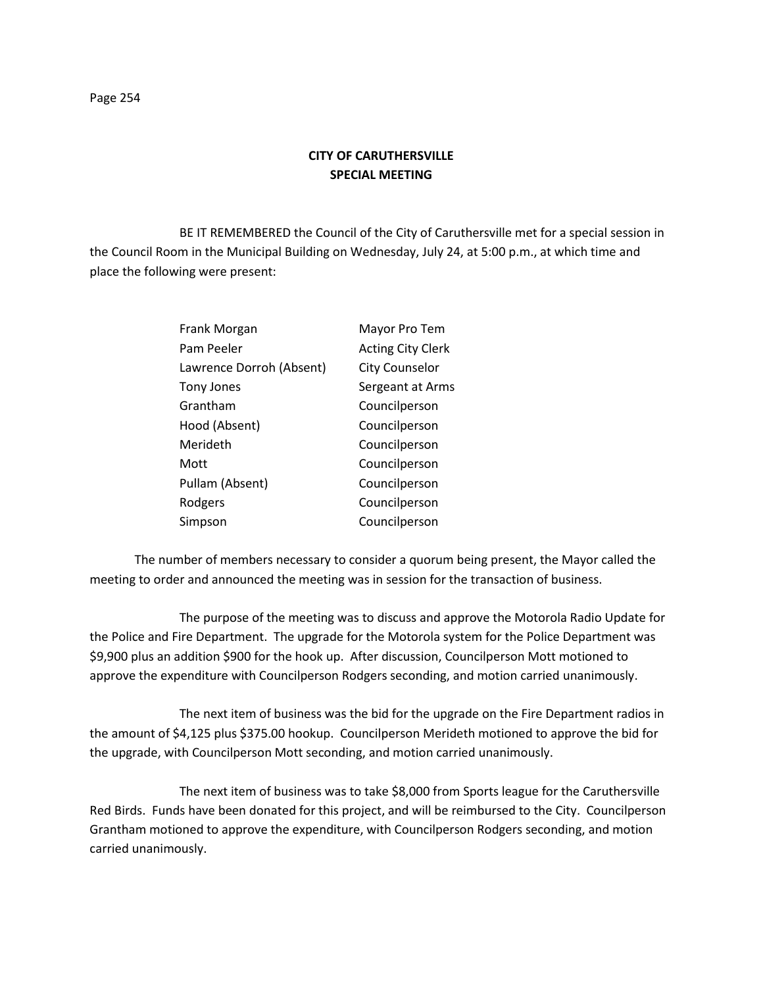## **CITY OF CARUTHERSVILLE SPECIAL MEETING**

BE IT REMEMBERED the Council of the City of Caruthersville met for a special session in the Council Room in the Municipal Building on Wednesday, July 24, at 5:00 p.m., at which time and place the following were present:

| Frank Morgan             | Mayor Pro Tem            |
|--------------------------|--------------------------|
| Pam Peeler               | <b>Acting City Clerk</b> |
| Lawrence Dorroh (Absent) | <b>City Counselor</b>    |
| Tony Jones               | Sergeant at Arms         |
| Grantham                 | Councilperson            |
| Hood (Absent)            | Councilperson            |
| Merideth                 | Councilperson            |
| Mott                     | Councilperson            |
| Pullam (Absent)          | Councilperson            |
| Rodgers                  | Councilperson            |
| Simpson                  | Councilperson            |

The number of members necessary to consider a quorum being present, the Mayor called the meeting to order and announced the meeting was in session for the transaction of business.

The purpose of the meeting was to discuss and approve the Motorola Radio Update for the Police and Fire Department. The upgrade for the Motorola system for the Police Department was \$9,900 plus an addition \$900 for the hook up. After discussion, Councilperson Mott motioned to approve the expenditure with Councilperson Rodgers seconding, and motion carried unanimously.

The next item of business was the bid for the upgrade on the Fire Department radios in the amount of \$4,125 plus \$375.00 hookup. Councilperson Merideth motioned to approve the bid for the upgrade, with Councilperson Mott seconding, and motion carried unanimously.

The next item of business was to take \$8,000 from Sports league for the Caruthersville Red Birds. Funds have been donated for this project, and will be reimbursed to the City. Councilperson Grantham motioned to approve the expenditure, with Councilperson Rodgers seconding, and motion carried unanimously.